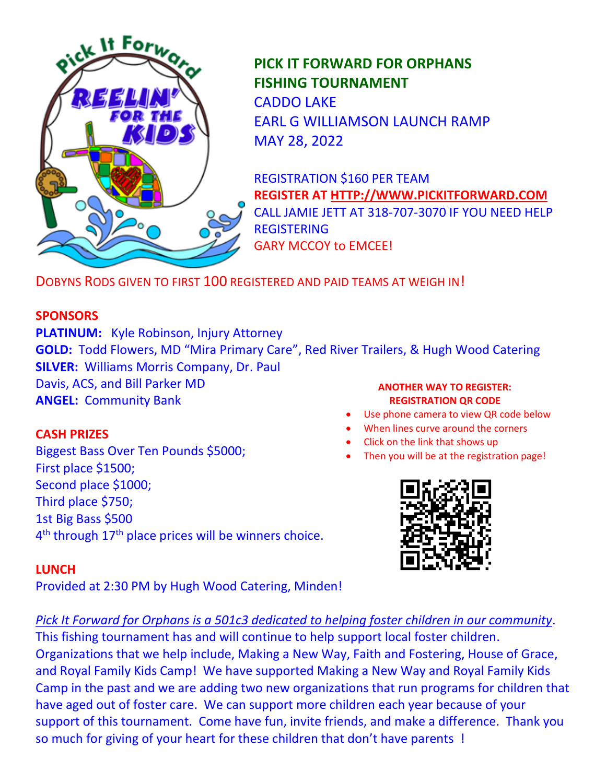

**PICK IT FORWARD FOR ORPHANS FISHING TOURNAMENT** CADDO LAKE EARL G WILLIAMSON LAUNCH RAMP MAY 28, 2022

REGISTRATION \$160 PER TEAM **REGISTER AT [HTTP://WWW.PICKITFORWARD.COM](http://www.pickitforward.com/)** CALL JAMIE JETT AT 318-707-3070 IF YOU NEED HELP REGISTERING GARY MCCOY to EMCEE!

DOBYNS RODS GIVEN TO FIRST 100 REGISTERED AND PAID TEAMS AT WEIGH IN!

# **SPONSORS**

**PLATINUM:** Kyle Robinson, Injury Attorney **GOLD:** Todd Flowers, MD "Mira Primary Care", Red River Trailers, & Hugh Wood Catering **SILVER:** Williams Morris Company, Dr. Paul Davis, ACS, and Bill Parker MD **ANGEL:** Community Bank **ANOTHER WAY TO REGISTER: REGISTRATION QR CODE**

# **CASH PRIZES**

Biggest Bass Over Ten Pounds \$5000; First place \$1500; Second place \$1000; Third place \$750; 1st Big Bass \$500 4<sup>th</sup> through 17<sup>th</sup> place prices will be winners choice.

- Use phone camera to view QR code below
- When lines curve around the corners
- Click on the link that shows up
- Then you will be at the registration page!



# **LUNCH**

Provided at 2:30 PM by Hugh Wood Catering, Minden!

# *Pick It Forward for Orphans is a 501c3 dedicated to helping foster children in our community*.

This fishing tournament has and will continue to help support local foster children. Organizations that we help include, Making a New Way, Faith and Fostering, House of Grace, and Royal Family Kids Camp! We have supported Making a New Way and Royal Family Kids Camp in the past and we are adding two new organizations that run programs for children that have aged out of foster care. We can support more children each year because of your support of this tournament. Come have fun, invite friends, and make a difference. Thank you so much for giving of your heart for these children that don't have parents !